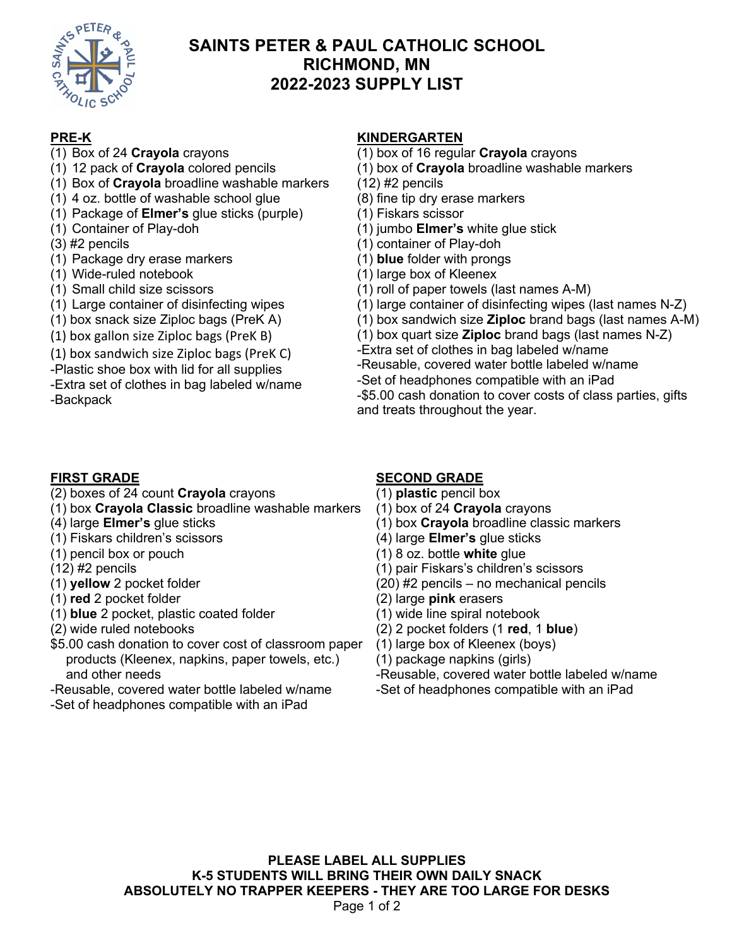

# **SAINTS PETER & PAUL CATHOLIC SCHOOL RICHMOND, MN 2022-2023 SUPPLY LIST**

## **PRE-K**

- (1) Box of 24 **Crayola** crayons
- (1) 12 pack of **Crayola** colored pencils
- (1) Box of **Crayola** broadline washable markers
- (1) 4 oz. bottle of washable school glue
- (1) Package of **Elmer's** glue sticks (purple)
- (1) Container of Play-doh
- (3) #2 pencils
- (1) Package dry erase markers
- (1) Wide-ruled notebook
- (1) Small child size scissors
- (1) Large container of disinfecting wipes
- (1) box snack size Ziploc bags (PreK A)
- (1) box gallon size Ziploc bags (PreK B)
- (1) box sandwich size Ziploc bags (PreK C)
- -Plastic shoe box with lid for all supplies
- -Extra set of clothes in bag labeled w/name -Backpack

### **KINDERGARTEN**

- (1) box of 16 regular **Crayola** crayons
- (1) box of **Crayola** broadline washable markers
- (12) #2 pencils
- (8) fine tip dry erase markers
- (1) Fiskars scissor
- (1) jumbo **Elmer's** white glue stick
- (1) container of Play-doh
- (1) **blue** folder with prongs
- (1) large box of Kleenex
- (1) roll of paper towels (last names A-M)
- (1) large container of disinfecting wipes (last names N-Z)
- (1) box sandwich size **Ziploc** brand bags (last names A-M)
- (1) box quart size **Ziploc** brand bags (last names N-Z)
- -Extra set of clothes in bag labeled w/name -Reusable, covered water bottle labeled w/name -Set of headphones compatible with an iPad -\$5.00 cash donation to cover costs of class parties, gifts and treats throughout the year.

## **FIRST GRADE**

- (2) boxes of 24 count **Crayola** crayons
- (1) box **Crayola Classic** broadline washable markers
- (4) large **Elmer's** glue sticks
- (1) Fiskars children's scissors
- (1) pencil box or pouch
- (12) #2 pencils
- (1) **yellow** 2 pocket folder
- (1) **red** 2 pocket folder
- (1) **blue** 2 pocket, plastic coated folder
- (2) wide ruled notebooks
- \$5.00 cash donation to cover cost of classroom paper products (Kleenex, napkins, paper towels, etc.) and other needs
- -Reusable, covered water bottle labeled w/name
- -Set of headphones compatible with an iPad

## **SECOND GRADE**

- (1) **plastic** pencil box
- (1) box of 24 **Crayola** crayons
- (1) box **Crayola** broadline classic markers
- (4) large **Elmer's** glue sticks
- (1) 8 oz. bottle **white** glue
- (1) pair Fiskars's children's scissors
- (20) #2 pencils no mechanical pencils
- (2) large **pink** erasers
- (1) wide line spiral notebook
- (2) 2 pocket folders (1 **red**, 1 **blue**)
- (1) large box of Kleenex (boys)
- (1) package napkins (girls)
- -Reusable, covered water bottle labeled w/name -Set of headphones compatible with an iPad